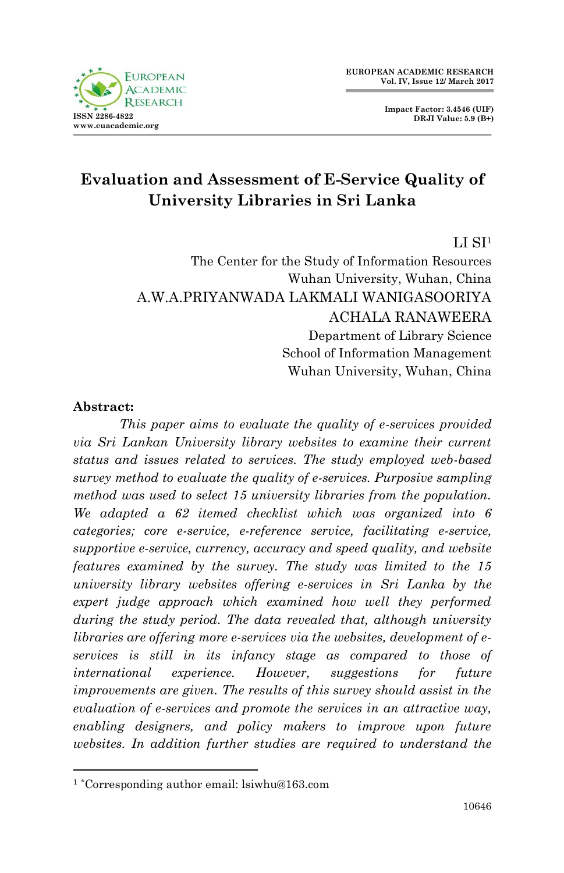

**Impact Factor: 3.4546 (UIF) DRJI Value: 5.9 (B+)**

# **Evaluation and Assessment of E-Service Quality of University Libraries in Sri Lanka**

LI SI<sup>1</sup>

The Center for the Study of Information Resources Wuhan University, Wuhan, China A.W.A.PRIYANWADA LAKMALI WANIGASOORIYA ACHALA RANAWEERA Department of Library Science School of Information Management Wuhan University, Wuhan, China

#### **Abstract:**

1

*This paper aims to evaluate the quality of e-services provided via Sri Lankan University library websites to examine their current status and issues related to services. The study employed web-based survey method to evaluate the quality of e-services. Purposive sampling method was used to select 15 university libraries from the population. We adapted a 62 itemed checklist which was organized into 6 categories; core e-service, e-reference service, facilitating e-service, supportive e-service, currency, accuracy and speed quality, and website features examined by the survey. The study was limited to the 15 university library websites offering e-services in Sri Lanka by the expert judge approach which examined how well they performed during the study period. The data revealed that, although university libraries are offering more e-services via the websites, development of eservices is still in its infancy stage as compared to those of international experience. However, suggestions for future improvements are given. The results of this survey should assist in the evaluation of e-services and promote the services in an attractive way, enabling designers, and policy makers to improve upon future websites. In addition further studies are required to understand the* 

<sup>1</sup> \*Corresponding author email: lsiwhu@163.com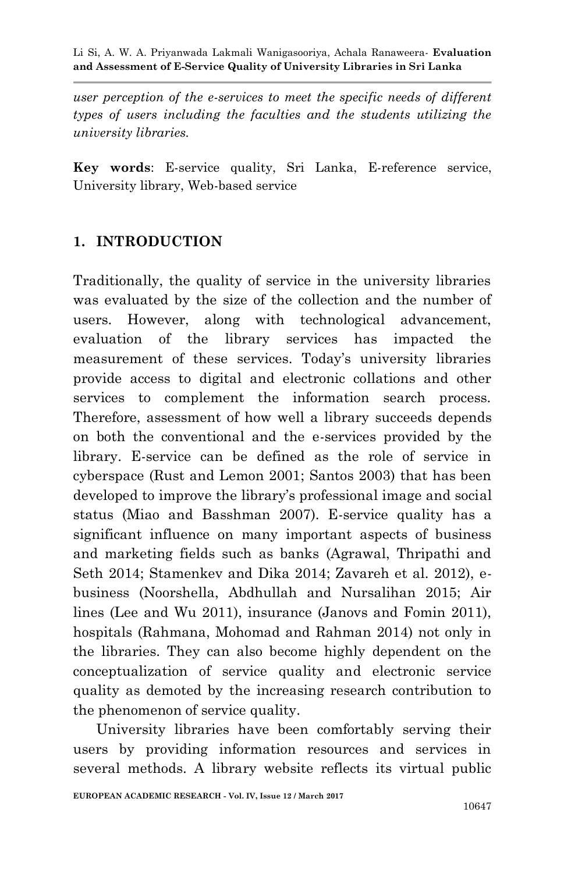*user perception of the e-services to meet the specific needs of different types of users including the faculties and the students utilizing the university libraries.*

**Key words**: E-service quality, Sri Lanka, E-reference service, University library, Web-based service

## **1. INTRODUCTION**

Traditionally, the quality of service in the university libraries was evaluated by the size of the collection and the number of users. However, along with technological advancement, evaluation of the library services has impacted the measurement of these services. Today's university libraries provide access to digital and electronic collations and other services to complement the information search process. Therefore, assessment of how well a library succeeds depends on both the conventional and the e-services provided by the library. E-service can be defined as the role of service in cyberspace (Rust and Lemon 2001; Santos 2003) that has been developed to improve the library"s professional image and social status (Miao and Basshman 2007). E-service quality has a significant influence on many important aspects of business and marketing fields such as banks (Agrawal, Thripathi and Seth 2014; Stamenkev and Dika 2014; Zavareh et al. 2012), ebusiness (Noorshella, Abdhullah and Nursalihan 2015; Air lines (Lee and Wu 2011), insurance (Janovs and Fomin 2011), hospitals (Rahmana, Mohomad and Rahman 2014) not only in the libraries. They can also become highly dependent on the conceptualization of service quality and electronic service quality as demoted by the increasing research contribution to the phenomenon of service quality.

University libraries have been comfortably serving their users by providing information resources and services in several methods. A library website reflects its virtual public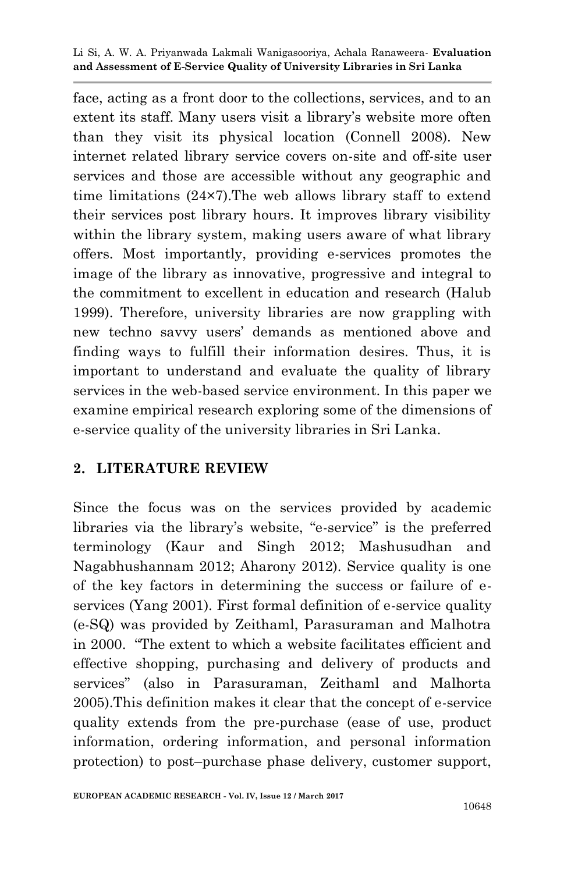face, acting as a front door to the collections, services, and to an extent its staff. Many users visit a library"s website more often than they visit its physical location (Connell 2008). New internet related library service covers on-site and off-site user services and those are accessible without any geographic and time limitations (24×7).The web allows library staff to extend their services post library hours. It improves library visibility within the library system, making users aware of what library offers. Most importantly, providing e-services promotes the image of the library as innovative, progressive and integral to the commitment to excellent in education and research (Halub 1999). Therefore, university libraries are now grappling with new techno savvy users" demands as mentioned above and finding ways to fulfill their information desires. Thus, it is important to understand and evaluate the quality of library services in the web-based service environment. In this paper we examine empirical research exploring some of the dimensions of e-service quality of the university libraries in Sri Lanka.

### **2. LITERATURE REVIEW**

Since the focus was on the services provided by academic libraries via the library"s website, "e-service" is the preferred terminology (Kaur and Singh 2012; Mashusudhan and Nagabhushannam 2012; Aharony 2012). Service quality is one of the key factors in determining the success or failure of eservices (Yang 2001). First formal definition of e-service quality (e-SQ) was provided by Zeithaml, Parasuraman and Malhotra in 2000. "The extent to which a website facilitates efficient and effective shopping, purchasing and delivery of products and services" (also in Parasuraman, Zeithaml and Malhorta 2005).This definition makes it clear that the concept of e-service quality extends from the pre-purchase (ease of use, product information, ordering information, and personal information protection) to post–purchase phase delivery, customer support,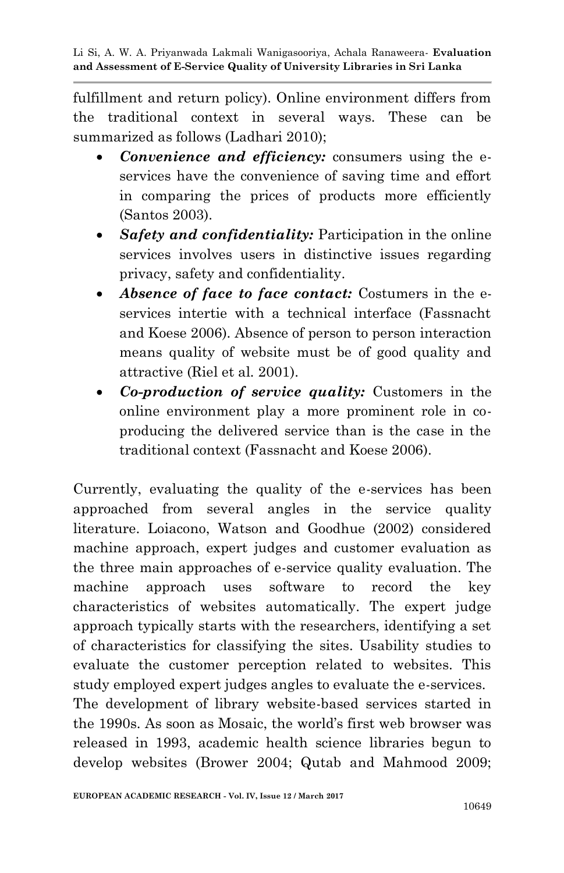fulfillment and return policy). Online environment differs from the traditional context in several ways. These can be summarized as follows (Ladhari 2010);

- *Convenience and efficiency:* consumers using the eservices have the convenience of saving time and effort in comparing the prices of products more efficiently (Santos 2003).
- *Safety and confidentiality:* Participation in the online services involves users in distinctive issues regarding privacy, safety and confidentiality.
- *Absence of face to face contact:* Costumers in the eservices intertie with a technical interface (Fassnacht and Koese 2006). Absence of person to person interaction means quality of website must be of good quality and attractive (Riel et al*.* 2001).
- *Co-production of service quality:* Customers in the online environment play a more prominent role in coproducing the delivered service than is the case in the traditional context (Fassnacht and Koese 2006).

Currently, evaluating the quality of the e-services has been approached from several angles in the service quality literature. Loiacono, Watson and Goodhue (2002) considered machine approach, expert judges and customer evaluation as the three main approaches of e-service quality evaluation. The machine approach uses software to record the key characteristics of websites automatically. The expert judge approach typically starts with the researchers, identifying a set of characteristics for classifying the sites. Usability studies to evaluate the customer perception related to websites. This study employed expert judges angles to evaluate the e-services. The development of library website-based services started in the 1990s. As soon as Mosaic, the world"s first web browser was released in 1993, academic health science libraries begun to develop websites (Brower 2004; Qutab and Mahmood 2009;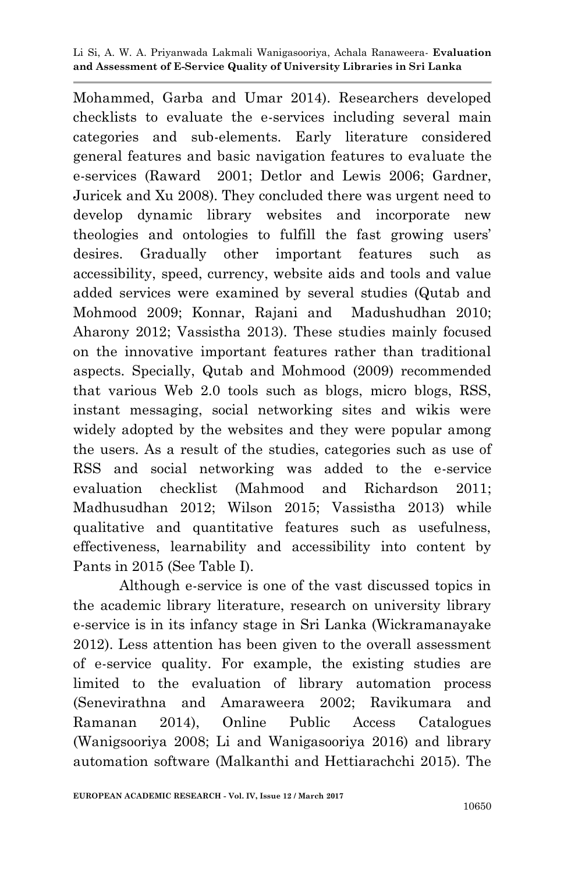Mohammed, Garba and Umar 2014). Researchers developed checklists to evaluate the e-services including several main categories and sub-elements. Early literature considered general features and basic navigation features to evaluate the e-services (Raward 2001; Detlor and Lewis 2006; Gardner, Juricek and Xu 2008). They concluded there was urgent need to develop dynamic library websites and incorporate new theologies and ontologies to fulfill the fast growing users" desires. Gradually other important features such as accessibility, speed, currency, website aids and tools and value added services were examined by several studies (Qutab and Mohmood 2009; Konnar, Rajani and Madushudhan 2010; Aharony 2012; Vassistha 2013). These studies mainly focused on the innovative important features rather than traditional aspects. Specially, Qutab and Mohmood (2009) recommended that various Web 2.0 tools such as blogs, micro blogs, RSS, instant messaging, social networking sites and wikis were widely adopted by the websites and they were popular among the users. As a result of the studies, categories such as use of RSS and social networking was added to the e-service evaluation checklist (Mahmood and Richardson 2011; Madhusudhan 2012; Wilson 2015; Vassistha 2013) while qualitative and quantitative features such as usefulness, effectiveness, learnability and accessibility into content by Pants in 2015 (See Table I).

Although e-service is one of the vast discussed topics in the academic library literature, research on university library e-service is in its infancy stage in Sri Lanka (Wickramanayake 2012). Less attention has been given to the overall assessment of e-service quality. For example, the existing studies are limited to the evaluation of library automation process (Senevirathna and Amaraweera 2002; Ravikumara and Ramanan 2014), Online Public Access Catalogues (Wanigsooriya 2008; Li and Wanigasooriya 2016) and library automation software (Malkanthi and Hettiarachchi 2015). The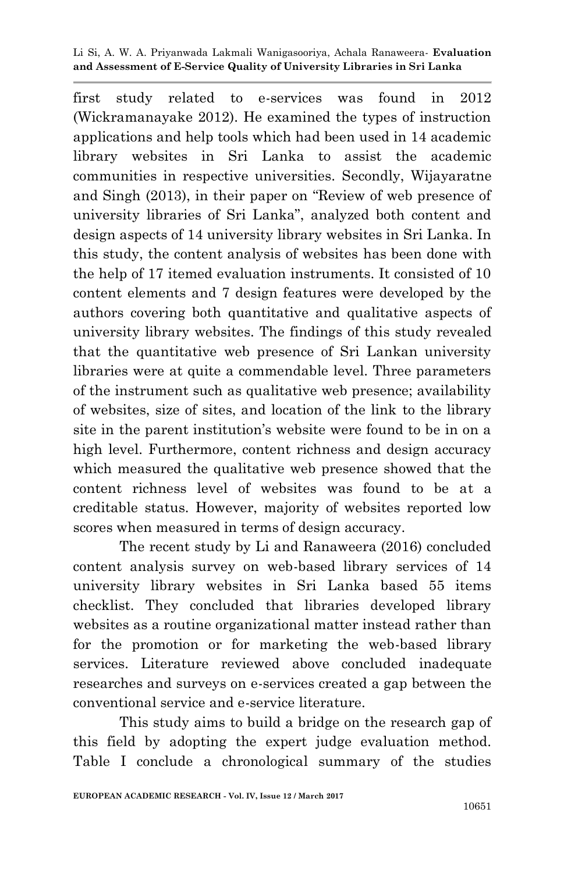first study related to e-services was found in 2012 (Wickramanayake 2012). He examined the types of instruction applications and help tools which had been used in 14 academic library websites in Sri Lanka to assist the academic communities in respective universities. Secondly, Wijayaratne and Singh (2013), in their paper on "Review of web presence of university libraries of Sri Lanka", analyzed both content and design aspects of 14 university library websites in Sri Lanka. In this study, the content analysis of websites has been done with the help of 17 itemed evaluation instruments. It consisted of 10 content elements and 7 design features were developed by the authors covering both quantitative and qualitative aspects of university library websites. The findings of this study revealed that the quantitative web presence of Sri Lankan university libraries were at quite a commendable level. Three parameters of the instrument such as qualitative web presence; availability of websites, size of sites, and location of the link to the library site in the parent institution"s website were found to be in on a high level. Furthermore, content richness and design accuracy which measured the qualitative web presence showed that the content richness level of websites was found to be at a creditable status. However, majority of websites reported low scores when measured in terms of design accuracy.

The recent study by Li and Ranaweera (2016) concluded content analysis survey on web-based library services of 14 university library websites in Sri Lanka based 55 items checklist. They concluded that libraries developed library websites as a routine organizational matter instead rather than for the promotion or for marketing the web-based library services. Literature reviewed above concluded inadequate researches and surveys on e-services created a gap between the conventional service and e-service literature.

This study aims to build a bridge on the research gap of this field by adopting the expert judge evaluation method. Table I conclude a chronological summary of the studies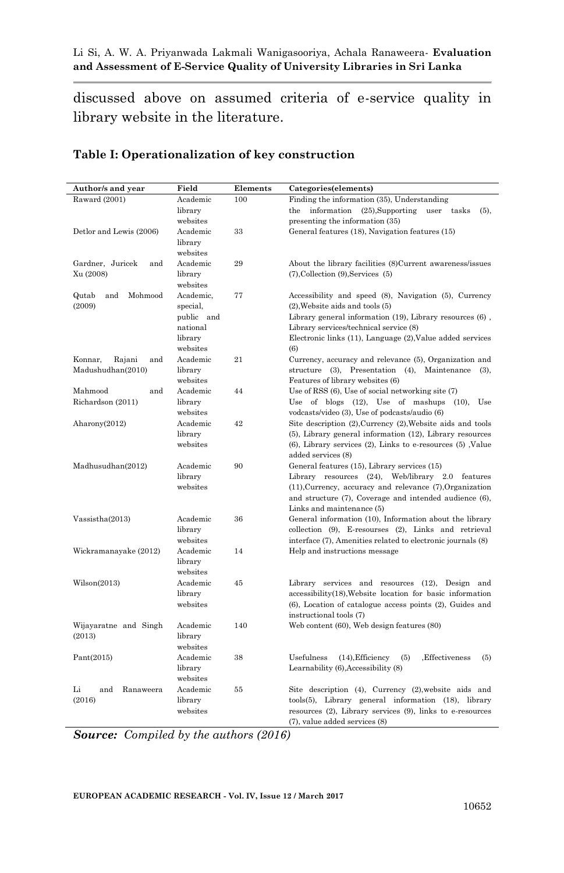discussed above on assumed criteria of e-service quality in library website in the literature.

| Author/s and year            | Field      | Elements | Categories(elements)                                                |  |  |
|------------------------------|------------|----------|---------------------------------------------------------------------|--|--|
| Raward (2001)                | Academic   | 100      | Finding the information (35), Understanding                         |  |  |
|                              | library    |          | information<br>$(25)$ , Supporting<br>the<br>user<br>tasks<br>(5),  |  |  |
|                              | websites   |          | presenting the information (35)                                     |  |  |
| Detlor and Lewis (2006)      | Academic   | 33       | General features (18), Navigation features (15)                     |  |  |
|                              | library    |          |                                                                     |  |  |
|                              | websites   |          |                                                                     |  |  |
| Gardner, Juricek<br>and      | Academic   | 29       | About the library facilities (8)Current awareness/issues            |  |  |
| Xu (2008)                    | library    |          | $(7)$ , Collection $(9)$ , Services $(5)$                           |  |  |
|                              | websites   |          |                                                                     |  |  |
| Qutab<br>and<br>Mohmood      | Academic.  | 77       | Accessibility and speed (8), Navigation (5), Currency               |  |  |
| (2009)                       | special,   |          | $(2)$ , Website aids and tools $(5)$                                |  |  |
|                              | public and |          | Library general information (19), Library resources (6),            |  |  |
|                              | national   |          | Library services/technical service (8)                              |  |  |
|                              | library    |          | Electronic links (11), Language (2), Value added services           |  |  |
|                              | websites   |          | (6)                                                                 |  |  |
| Rajani<br>and                | Academic   | 21       | Currency, accuracy and relevance (5), Organization and              |  |  |
| Konnar,<br>Madushudhan(2010) | library    |          | structure (3), Presentation (4), Maintenance                        |  |  |
|                              | websites   |          | $(3)$ ,                                                             |  |  |
|                              |            |          | Features of library websites (6)                                    |  |  |
| Mahmood<br>and               | Academic   | 44       | Use of RSS $(6)$ , Use of social networking site $(7)$              |  |  |
| Richardson (2011)            | library    |          | of blogs $(12)$ , Use of mashups $(10)$ ,<br>Use<br>Use             |  |  |
|                              | websites   |          | vodcasts/video (3), Use of podcasts/audio (6)                       |  |  |
| Aharony(2012)                | Academic   | 42       | Site description (2), Currency (2), Website aids and tools          |  |  |
|                              | library    |          | (5), Library general information (12), Library resources            |  |  |
|                              | websites   |          | $(6)$ , Library services $(2)$ , Links to e-resources $(5)$ , Value |  |  |
|                              |            |          | added services (8)                                                  |  |  |
| Madhusudhan(2012)            | Academic   | 90       | General features (15), Library services (15)                        |  |  |
|                              | library    |          | Library resources (24), Web/library 2.0 features                    |  |  |
|                              | websites   |          | $(11)$ , Currency, accuracy and relevance $(7)$ , Organization      |  |  |
|                              |            |          | and structure (7), Coverage and intended audience (6),              |  |  |
|                              |            |          | Links and maintenance (5)                                           |  |  |
| Vassistha(2013)              | Academic   | 36       | General information (10), Information about the library             |  |  |
|                              | library    |          | collection (9), E-resourses (2), Links and retrieval                |  |  |
|                              | websites   |          | interface (7), Amenities related to electronic journals (8)         |  |  |
| Wickramanayake (2012)        | Academic   | 14       | Help and instructions message                                       |  |  |
|                              | library    |          |                                                                     |  |  |
|                              | websites   |          |                                                                     |  |  |
| Wilson(2013)                 | Academic   | 45       | Library services and resources (12), Design and                     |  |  |
|                              | library    |          | accessibility(18), Website location for basic information           |  |  |
|                              | websites   |          | (6), Location of catalogue access points (2), Guides and            |  |  |
|                              |            |          | instructional tools (7)                                             |  |  |
| Wijayaratne and Singh        | Academic   | 140      | Web content (60), Web design features (80)                          |  |  |
| (2013)                       | library    |          |                                                                     |  |  |
|                              | websites   |          |                                                                     |  |  |
| Pant(2015)                   | Academic   | 38       | Usefulness<br>$(14)$ , Efficiency<br>(5)<br>.Effectiveness<br>(5)   |  |  |
|                              | library    |          | Learnability (6), Accessibility (8)                                 |  |  |
|                              | websites   |          |                                                                     |  |  |
| Li<br>and<br>Ranaweera       | Academic   | 55       | Site description (4), Currency (2), website aids and                |  |  |
| (2016)                       | library    |          | tools(5), Library general information (18), library                 |  |  |
|                              | websites   |          | resources (2), Library services (9), links to e-resources           |  |  |
|                              |            |          | (7), value added services (8)                                       |  |  |

#### **Table I: Operationalization of key construction**

*Source: Compiled by the authors (2016)*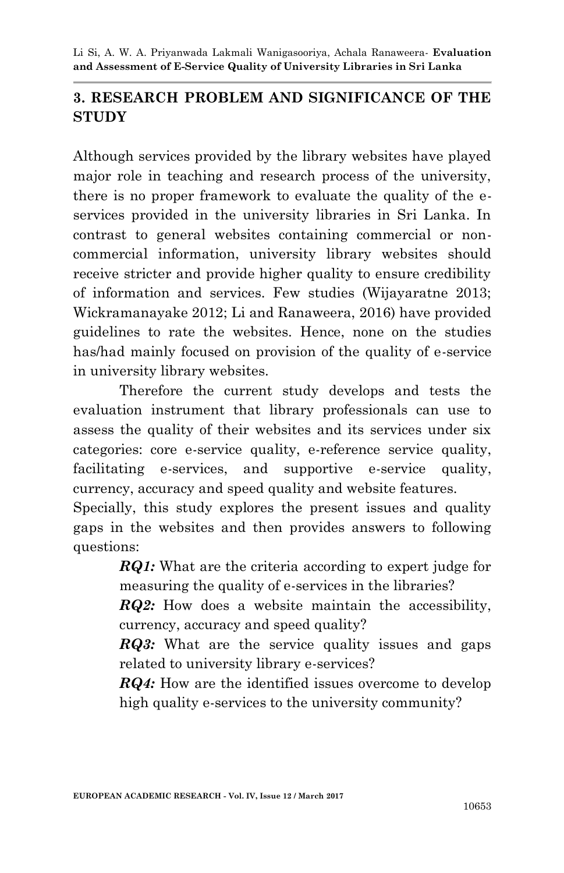## **3. RESEARCH PROBLEM AND SIGNIFICANCE OF THE STUDY**

Although services provided by the library websites have played major role in teaching and research process of the university, there is no proper framework to evaluate the quality of the eservices provided in the university libraries in Sri Lanka. In contrast to general websites containing commercial or noncommercial information, university library websites should receive stricter and provide higher quality to ensure credibility of information and services. Few studies (Wijayaratne 2013; Wickramanayake 2012; Li and Ranaweera, 2016) have provided guidelines to rate the websites. Hence, none on the studies has/had mainly focused on provision of the quality of e-service in university library websites.

Therefore the current study develops and tests the evaluation instrument that library professionals can use to assess the quality of their websites and its services under six categories: core e-service quality, e-reference service quality, facilitating e-services, and supportive e-service quality, currency, accuracy and speed quality and website features.

Specially, this study explores the present issues and quality gaps in the websites and then provides answers to following questions:

> *RQ1:* What are the criteria according to expert judge for measuring the quality of e-services in the libraries?

> *RQ2:* How does a website maintain the accessibility, currency, accuracy and speed quality?

> *RQ3:* What are the service quality issues and gaps related to university library e-services?

> *RQ4*: How are the identified issues overcome to develop high quality e-services to the university community?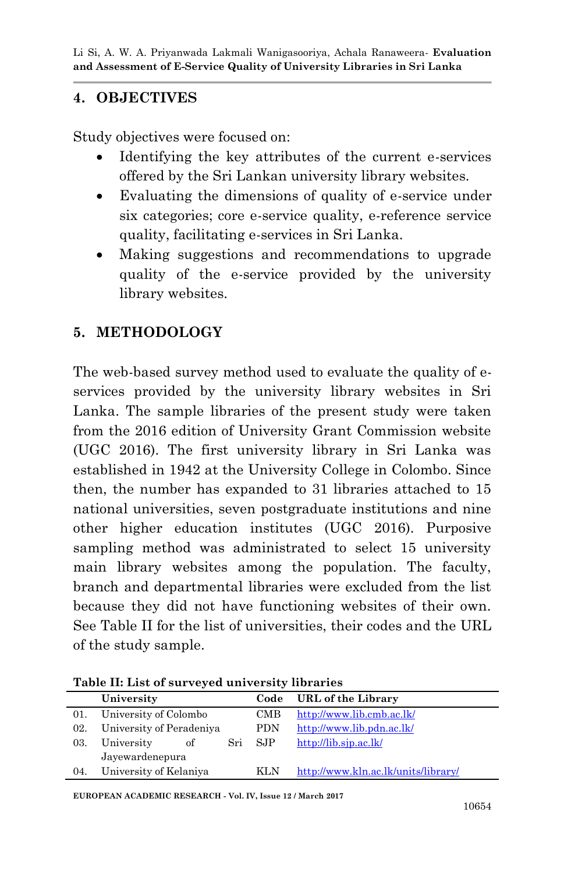## **4. OBJECTIVES**

Study objectives were focused on:

- Identifying the key attributes of the current e-services offered by the Sri Lankan university library websites.
- Evaluating the dimensions of quality of e-service under six categories; core e-service quality, e-reference service quality, facilitating e-services in Sri Lanka.
- Making suggestions and recommendations to upgrade quality of the e-service provided by the university library websites.

## **5. METHODOLOGY**

The web-based survey method used to evaluate the quality of eservices provided by the university library websites in Sri Lanka. The sample libraries of the present study were taken from the 2016 edition of University Grant Commission website (UGC 2016). The first university library in Sri Lanka was established in 1942 at the University College in Colombo. Since then, the number has expanded to 31 libraries attached to 15 national universities, seven postgraduate institutions and nine other higher education institutes (UGC 2016). Purposive sampling method was administrated to select 15 university main library websites among the population. The faculty, branch and departmental libraries were excluded from the list because they did not have functioning websites of their own. See Table II for the list of universities, their codes and the URL of the study sample.

**Table II: List of surveyed university libraries**

|     | University               | Code | URL of the Library                  |
|-----|--------------------------|------|-------------------------------------|
| 01. | University of Colombo    | CMB  | http://www.lib.cmb.ac.lk/           |
| 02. | University of Peradeniya | PDN  | http://www.lib.pdn.ac.lk/           |
| 03. | Sri<br>University<br>of  | -SJP | http://lib.sjp.ac.lk/               |
|     | Jayewardenepura          |      |                                     |
| 04. | University of Kelaniya   | KLN. | http://www.kln.ac.lk/units/library/ |

**EUROPEAN ACADEMIC RESEARCH - Vol. IV, Issue 12 / March 2017**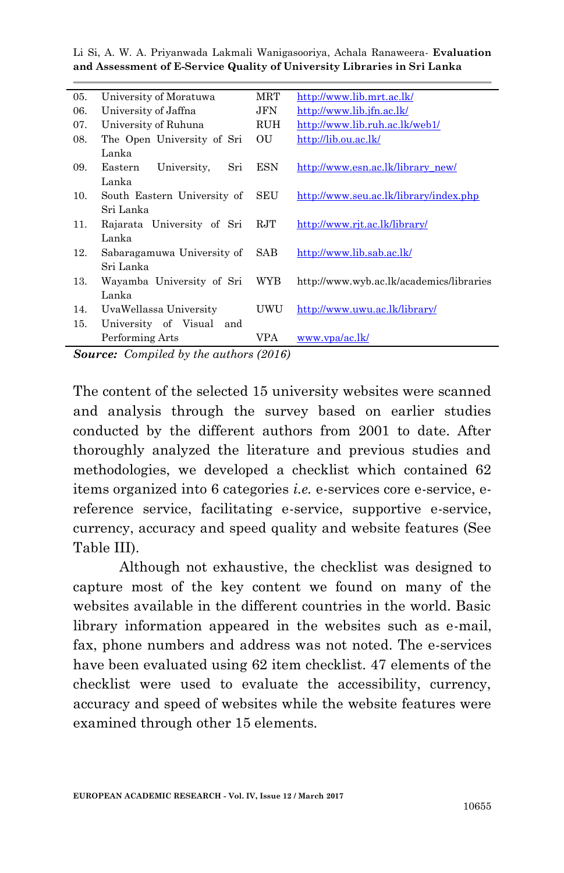| 05. | University of Moratuwa                                  | MRT        | http://www.lib.mrt.ac.lk/                |
|-----|---------------------------------------------------------|------------|------------------------------------------|
| 06. | University of Jaffna                                    | JFN        | http://www.lib.jfn.ac.lk/                |
| 07. | University of Ruhuna                                    | RUH        | http://www.lib.ruh.ac.lk/web1/           |
| 08. | The Open University of Sri                              | OU         | http://lib.ou.ac.lk/                     |
|     | Lanka                                                   |            |                                          |
| 09. | University,<br>Sri<br>Eastern                           | <b>ESN</b> | http://www.esn.ac.lk/library_new/        |
|     | Lanka                                                   |            |                                          |
| 10. | South Eastern University of                             | SEU        | http://www.seu.ac.lk/library/index.php   |
|     | Sri Lanka                                               |            |                                          |
| 11. | Rajarata University of Sri                              | RJT        | http://www.rjt.ac.lk/library/            |
|     | Lanka                                                   |            |                                          |
| 12. | Sabaragamuwa University of                              | SAB.       | http://www.lib.sab.ac.lk/                |
|     | Sri Lanka                                               |            |                                          |
| 13. | Wayamba University of Sri                               | WYB        | http://www.wyb.ac.lk/academics/libraries |
|     | Lanka                                                   |            |                                          |
| 14. | UvaWellassa University                                  | UWU        | http://www.uwu.ac.lk/library/            |
| 15. | University of Visual and                                |            |                                          |
|     | Performing Arts                                         | VPA        | www.ypa/ac.lk/                           |
|     | $\Omega$ ormon, $\Omega$ curailed buths with the (901C) |            |                                          |

*Source: Compiled by the authors (2016)*

The content of the selected 15 university websites were scanned and analysis through the survey based on earlier studies conducted by the different authors from 2001 to date. After thoroughly analyzed the literature and previous studies and methodologies, we developed a checklist which contained 62 items organized into 6 categories *i.e.* e-services core e-service, ereference service, facilitating e-service, supportive e-service, currency, accuracy and speed quality and website features (See Table III).

Although not exhaustive, the checklist was designed to capture most of the key content we found on many of the websites available in the different countries in the world. Basic library information appeared in the websites such as e-mail, fax, phone numbers and address was not noted. The e-services have been evaluated using 62 item checklist. 47 elements of the checklist were used to evaluate the accessibility, currency, accuracy and speed of websites while the website features were examined through other 15 elements.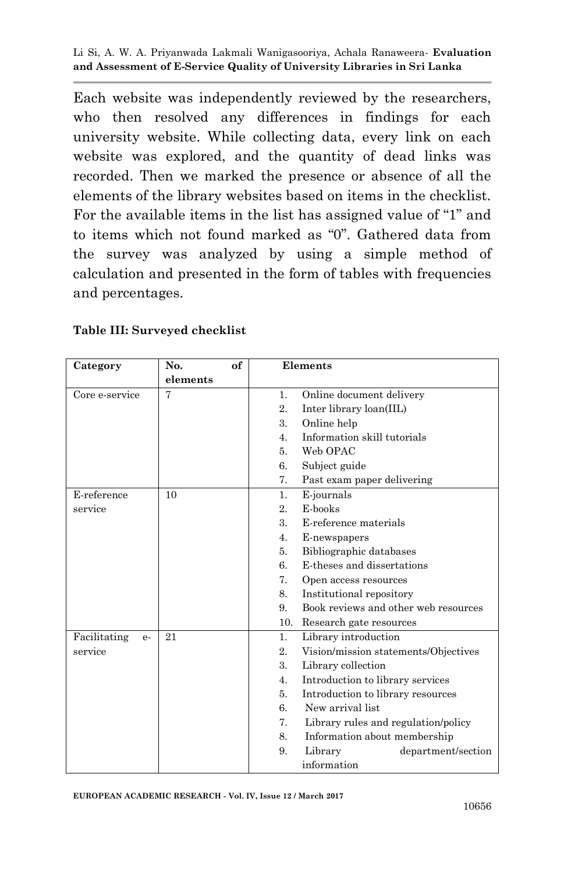Each website was independently reviewed by the researchers, who then resolved any differences in findings for each university website. While collecting data, every link on each website was explored, and the quantity of dead links was recorded. Then we marked the presence or absence of all the elements of the library websites based on items in the checklist. For the available items in the list has assigned value of "1" and to items which not found marked as "0". Gathered data from the survey was analyzed by using a simple method of calculation and presented in the form of tables with frequencies and percentages.

| Category             | No.      | of | Elements                                        |                                      |  |
|----------------------|----------|----|-------------------------------------------------|--------------------------------------|--|
|                      | elements |    |                                                 |                                      |  |
| Core e-service       | 7        |    | Online document delivery<br>$\mathbf{1}$ .      |                                      |  |
|                      |          |    | 2.<br>Inter library loan(IIL)                   |                                      |  |
|                      |          |    | 3.<br>Online help                               |                                      |  |
|                      |          |    | Information skill tutorials<br>$\overline{4}$ . |                                      |  |
|                      |          |    | Web OPAC<br>5.                                  |                                      |  |
|                      |          |    | Subject guide<br>6.                             |                                      |  |
|                      |          |    | 7.<br>Past exam paper delivering                |                                      |  |
| E-reference          | 10       |    | E-journals<br>$\mathbf{1}$ .                    |                                      |  |
| service              |          |    | E-books<br>2.                                   |                                      |  |
|                      |          |    | 3.<br>E-reference materials                     |                                      |  |
|                      |          |    | 4.<br>E-newspapers                              |                                      |  |
|                      |          |    | Bibliographic databases<br>5.                   |                                      |  |
|                      |          |    | E-theses and dissertations<br>6.                |                                      |  |
|                      |          |    | 7.<br>Open access resources                     |                                      |  |
|                      |          |    | 8.<br>Institutional repository                  |                                      |  |
|                      |          |    | 9.                                              | Book reviews and other web resources |  |
|                      |          |    | 10.<br>Research gate resources                  |                                      |  |
| Facilitating<br>$e-$ | 21       |    | Library introduction<br>1.                      |                                      |  |
| service              |          |    | Vision/mission statements/Objectives<br>2.      |                                      |  |
|                      |          |    | 3.<br>Library collection                        |                                      |  |
|                      |          |    | Introduction to library services<br>4.          |                                      |  |
|                      |          |    | 5.<br>Introduction to library resources         |                                      |  |
|                      |          |    | New arrival list<br>6.                          |                                      |  |
|                      |          |    | 7.<br>Library rules and regulation/policy       |                                      |  |
|                      |          |    | 8.<br>Information about membership              |                                      |  |
|                      |          |    | 9.<br>Library<br>department/section             |                                      |  |
|                      |          |    | information                                     |                                      |  |

#### **Table III: Surveyed checklist**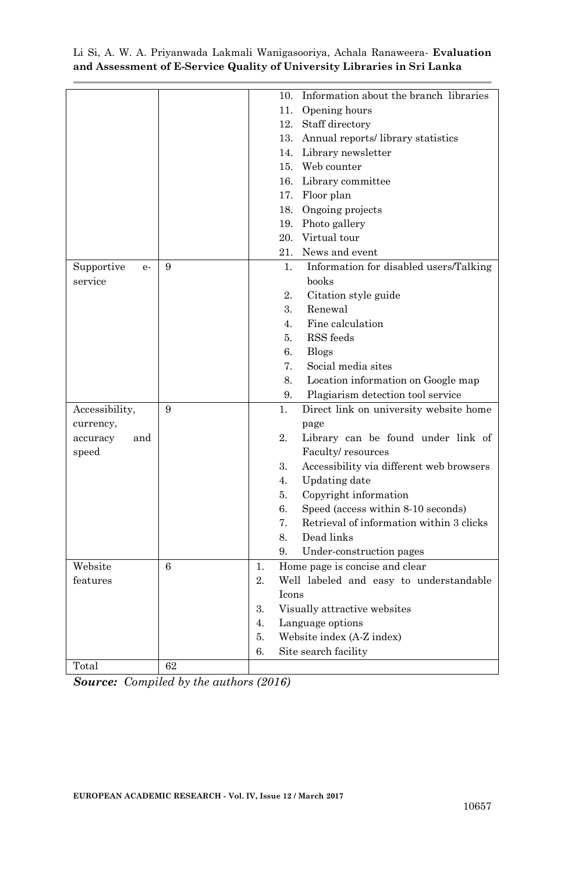|                    |    |                                 |                | 10. Information about the branch libraries |  |  |
|--------------------|----|---------------------------------|----------------|--------------------------------------------|--|--|
|                    |    |                                 |                | 11. Opening hours                          |  |  |
|                    |    |                                 |                | 12. Staff directory                        |  |  |
|                    |    |                                 |                | 13. Annual reports/library statistics      |  |  |
|                    |    |                                 |                | 14. Library newsletter                     |  |  |
|                    |    |                                 |                | 15. Web counter                            |  |  |
|                    |    |                                 |                | 16. Library committee                      |  |  |
|                    |    |                                 |                | 17. Floor plan                             |  |  |
|                    |    |                                 |                | 18. Ongoing projects                       |  |  |
|                    |    |                                 |                | 19. Photo gallery                          |  |  |
|                    |    |                                 |                | 20. Virtual tour                           |  |  |
|                    |    |                                 |                | 21. News and event                         |  |  |
| Supportive<br>$e-$ | 9  |                                 | 1.             | Information for disabled users/Talking     |  |  |
| service            |    |                                 |                | books                                      |  |  |
|                    |    |                                 | 2.             | Citation style guide                       |  |  |
|                    |    |                                 | 3.             | Renewal                                    |  |  |
|                    |    |                                 | 4.             | Fine calculation                           |  |  |
|                    |    |                                 | 5.             | RSS feeds                                  |  |  |
|                    |    |                                 | 6.             | <b>Blogs</b>                               |  |  |
|                    |    |                                 | 7.             | Social media sites                         |  |  |
|                    |    |                                 | 8.             | Location information on Google map         |  |  |
|                    |    |                                 | 9.             | Plagiarism detection tool service          |  |  |
| Accessibility,     | 9  |                                 | $\mathbf{1}$ . | Direct link on university website home     |  |  |
| currency,          |    |                                 |                | page                                       |  |  |
| accuracy<br>and    |    |                                 | 2.             | Library can be found under link of         |  |  |
| $\;$ speed         |    |                                 |                | Faculty/resources                          |  |  |
|                    |    |                                 | 3.             | Accessibility via different web browsers   |  |  |
|                    |    |                                 | 4.             | Updating date                              |  |  |
|                    |    |                                 | 5.             | Copyright information                      |  |  |
|                    |    |                                 | 6.             | Speed (access within 8-10 seconds)         |  |  |
|                    |    |                                 | 7.             | Retrieval of information within 3 clicks   |  |  |
|                    |    |                                 | 8.             | Dead links                                 |  |  |
|                    |    |                                 | 9.             | Under-construction pages                   |  |  |
| Website            | 6  | 1.                              |                | Home page is concise and clear             |  |  |
| features           |    | $\overline{2}$ .                |                | Well labeled and easy to understandable    |  |  |
|                    |    |                                 | <b>Icons</b>   |                                            |  |  |
|                    |    | 3.                              |                | Visually attractive websites               |  |  |
|                    |    | 4.                              |                | Language options                           |  |  |
|                    |    | 5.<br>Website index (A-Z index) |                |                                            |  |  |
|                    |    | 6.                              |                | Site search facility                       |  |  |
| Total              | 62 |                                 |                |                                            |  |  |

*Source: Compiled by the authors (2016)*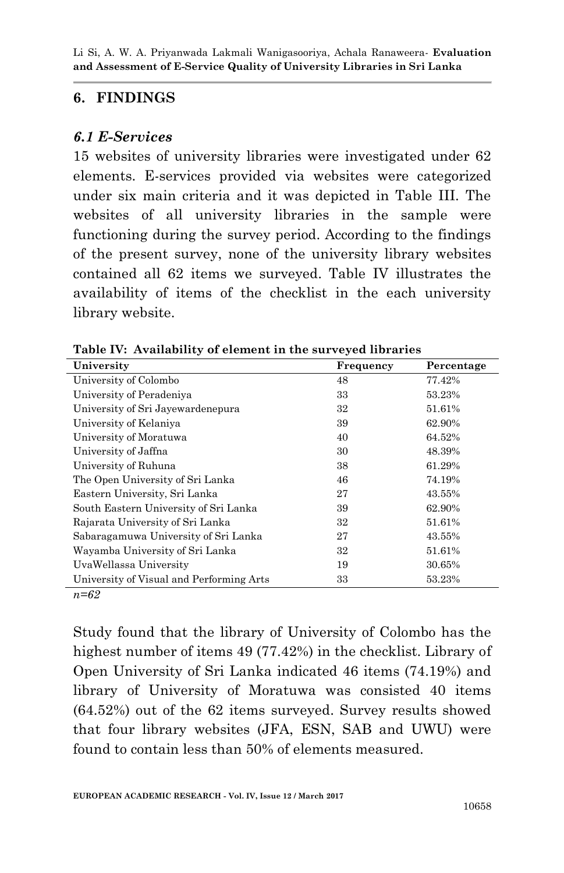### **6. FINDINGS**

### *6.1 E-Services*

15 websites of university libraries were investigated under 62 elements. E-services provided via websites were categorized under six main criteria and it was depicted in Table III. The websites of all university libraries in the sample were functioning during the survey period. According to the findings of the present survey, none of the university library websites contained all 62 items we surveyed. Table IV illustrates the availability of items of the checklist in the each university library website.

| University                               | Frequency | Percentage |
|------------------------------------------|-----------|------------|
| University of Colombo                    | 48        | 77.42%     |
| University of Peradeniya                 | 33        | 53.23%     |
| University of Sri Jayewardenepura        | 32        | 51.61%     |
| University of Kelaniva                   | 39        | 62.90%     |
| University of Moratuwa                   | 40        | 64.52%     |
| University of Jaffna                     | 30        | 48.39%     |
| University of Ruhuna                     | 38        | 61.29%     |
| The Open University of Sri Lanka         | 46        | 74.19%     |
| Eastern University, Sri Lanka            | 27        | 43.55%     |
| South Eastern University of Sri Lanka    | 39        | 62.90%     |
| Rajarata University of Sri Lanka         | 32        | 51.61%     |
| Sabaragamuwa University of Sri Lanka     | 27        | 43.55%     |
| Wayamba University of Sri Lanka          | 32        | 51.61%     |
| UvaWellassa University                   | 19        | 30.65%     |
| University of Visual and Performing Arts | 33        | 53.23%     |
| $\sim$                                   |           |            |

**Table IV: Availability of element in the surveyed libraries**

*n=62* 

Study found that the library of University of Colombo has the highest number of items 49 (77.42%) in the checklist. Library of Open University of Sri Lanka indicated 46 items (74.19%) and library of University of Moratuwa was consisted 40 items (64.52%) out of the 62 items surveyed. Survey results showed that four library websites (JFA, ESN, SAB and UWU) were found to contain less than 50% of elements measured.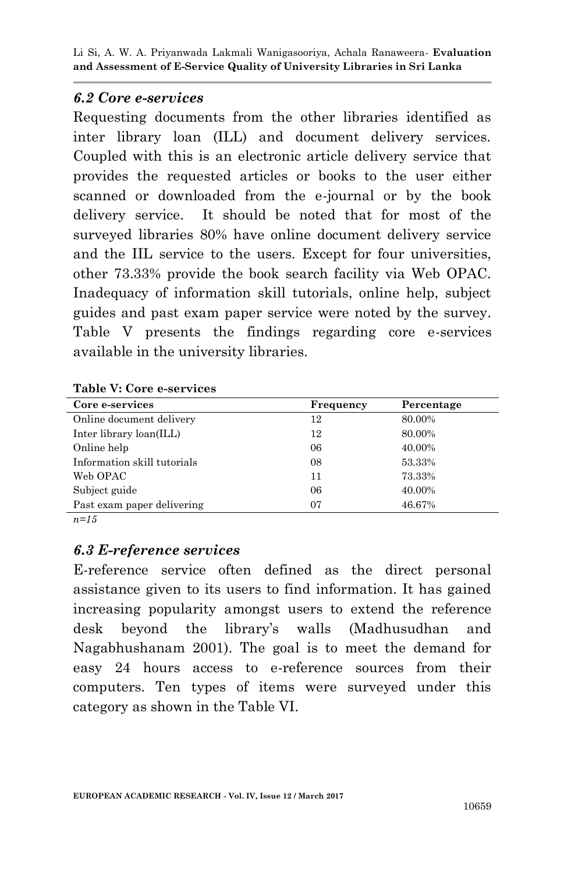### *6.2 Core e-services*

Requesting documents from the other libraries identified as inter library loan (ILL) and document delivery services. Coupled with this is an electronic article delivery service that provides the requested articles or books to the user either scanned or downloaded from the e-journal or by the book delivery service. It should be noted that for most of the surveyed libraries 80% have online document delivery service and the IIL service to the users. Except for four universities, other 73.33% provide the book search facility via Web OPAC. Inadequacy of information skill tutorials, online help, subject guides and past exam paper service were noted by the survey. Table V presents the findings regarding core e-services available in the university libraries.

#### **Table V: Core e-services**

| Core e-services             | Frequency | Percentage |
|-----------------------------|-----------|------------|
| Online document delivery    | 12        | 80.00%     |
| Inter library loan(ILL)     | 12        | 80.00%     |
| Online help                 | 06        | 40.00%     |
| Information skill tutorials | 08        | 53.33%     |
| Web OPAC                    | 11        | 73.33%     |
| Subject guide               | 06        | 40.00%     |
| Past exam paper delivering  | 07        | 46.67%     |

*n=15*

### *6.3 E-reference services*

E-reference service often defined as the direct personal assistance given to its users to find information. It has gained increasing popularity amongst users to extend the reference desk beyond the library"s walls (Madhusudhan and Nagabhushanam 2001). The goal is to meet the demand for easy 24 hours access to e-reference sources from their computers. Ten types of items were surveyed under this category as shown in the Table VI.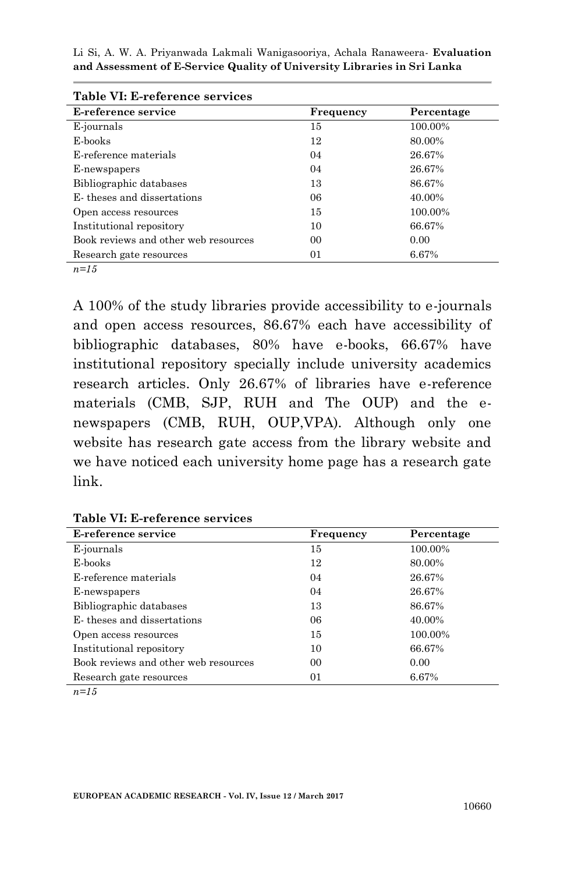| Frequency | Percentage |
|-----------|------------|
| 15        | 100.00%    |
| 12        | 80.00%     |
| 04        | 26.67%     |
| 04        | 26.67%     |
| 13        | 86.67%     |
| 06        | 40.00%     |
| 15        | 100.00%    |
| 10        | 66.67%     |
| 00        | 0.00       |
| 01        | 6.67%      |
|           |            |

|  |  |  | Table VI: E-reference services |
|--|--|--|--------------------------------|
|--|--|--|--------------------------------|

*n=15*

A 100% of the study libraries provide accessibility to e-journals and open access resources, 86.67% each have accessibility of bibliographic databases, 80% have e-books, 66.67% have institutional repository specially include university academics research articles. Only 26.67% of libraries have e-reference materials (CMB, SJP, RUH and The OUP) and the enewspapers (CMB, RUH, OUP,VPA). Although only one website has research gate access from the library website and we have noticed each university home page has a research gate link.

| E-reference service                  | Frequency | Percentage |
|--------------------------------------|-----------|------------|
| E-journals                           | 15        | 100.00%    |
| E-books                              | 12        | 80.00%     |
| E-reference materials                | 04        | 26.67%     |
| E-newspapers                         | 04        | 26.67%     |
| Bibliographic databases              | 13        | 86.67%     |
| E-theses and dissertations           | 06        | 40.00%     |
| Open access resources                | 15        | 100.00%    |
| Institutional repository             | 10        | 66.67%     |
| Book reviews and other web resources | 00        | 0.00       |
| Research gate resources              | 01        | 6.67%      |

**Table VI: E-reference services**

*n=15*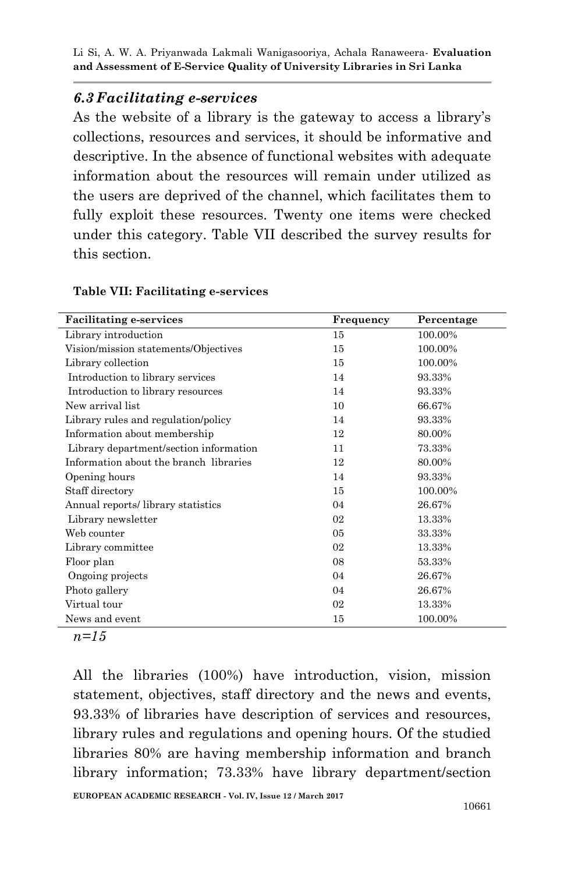### *6.3 Facilitating e-services*

As the website of a library is the gateway to access a library's collections, resources and services, it should be informative and descriptive. In the absence of functional websites with adequate information about the resources will remain under utilized as the users are deprived of the channel, which facilitates them to fully exploit these resources. Twenty one items were checked under this category. Table VII described the survey results for this section.

#### **Table VII: Facilitating e-services**

| <b>Facilitating e-services</b>         | Frequency      | Percentage |
|----------------------------------------|----------------|------------|
| Library introduction                   | 15             | 100.00%    |
| Vision/mission statements/Objectives   | 15             | 100.00%    |
| Library collection                     | 15             | 100.00%    |
| Introduction to library services       | 14             | 93.33%     |
| Introduction to library resources      | 14             | 93.33%     |
| New arrival list                       | 10             | 66.67%     |
| Library rules and regulation/policy    | 14             | 93.33%     |
| Information about membership           | 12             | 80.00%     |
| Library department/section information | 11             | 73.33%     |
| Information about the branch libraries | 12             | 80.00%     |
| Opening hours                          | 14             | 93.33%     |
| Staff directory                        | 15             | 100.00%    |
| Annual reports/library statistics      | 04             | 26.67%     |
| Library newsletter                     | 02             | 13.33%     |
| Web counter                            | 0 <sub>5</sub> | 33.33%     |
| Library committee                      | 02             | 13.33%     |
| Floor plan                             | 08             | 53.33%     |
| Ongoing projects                       | 04             | 26.67%     |
| Photo gallery                          | 04             | 26.67%     |
| Virtual tour                           | 02             | 13.33%     |
| News and event                         | 15             | 100.00%    |

*n=15*

All the libraries (100%) have introduction, vision, mission statement, objectives, staff directory and the news and events, 93.33% of libraries have description of services and resources, library rules and regulations and opening hours. Of the studied libraries 80% are having membership information and branch library information; 73.33% have library department/section

**EUROPEAN ACADEMIC RESEARCH - Vol. IV, Issue 12 / March 2017**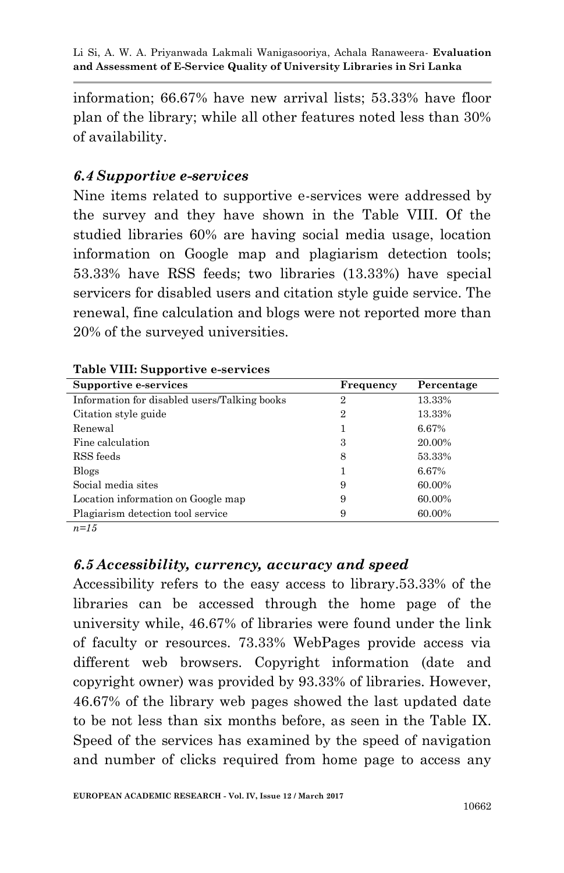information; 66.67% have new arrival lists; 53.33% have floor plan of the library; while all other features noted less than 30% of availability.

### *6.4 Supportive e-services*

Nine items related to supportive e-services were addressed by the survey and they have shown in the Table VIII. Of the studied libraries 60% are having social media usage, location information on Google map and plagiarism detection tools; 53.33% have RSS feeds; two libraries (13.33%) have special servicers for disabled users and citation style guide service. The renewal, fine calculation and blogs were not reported more than 20% of the surveyed universities.

| Supportive e-services                        | Frequency      | Percentage |
|----------------------------------------------|----------------|------------|
| Information for disabled users/Talking books | $\overline{2}$ | 13.33%     |
| Citation style guide                         | $\overline{2}$ | 13.33%     |
| Renewal                                      |                | 6.67%      |
| Fine calculation                             | 3              | 20.00%     |
| RSS feeds                                    | 8              | 53.33%     |
| <b>Blogs</b>                                 |                | 6.67%      |
| Social media sites                           | 9              | 60.00%     |
| Location information on Google map           | 9              | 60.00%     |
| Plagiarism detection tool service            | 9              | 60.00%     |

| Table VIII: Supportive e-services |  |  |
|-----------------------------------|--|--|
|-----------------------------------|--|--|

*n=15*

### *6.5 Accessibility, currency, accuracy and speed*

Accessibility refers to the easy access to library.53.33% of the libraries can be accessed through the home page of the university while, 46.67% of libraries were found under the link of faculty or resources. 73.33% WebPages provide access via different web browsers. Copyright information (date and copyright owner) was provided by 93.33% of libraries. However, 46.67% of the library web pages showed the last updated date to be not less than six months before, as seen in the Table IX. Speed of the services has examined by the speed of navigation and number of clicks required from home page to access any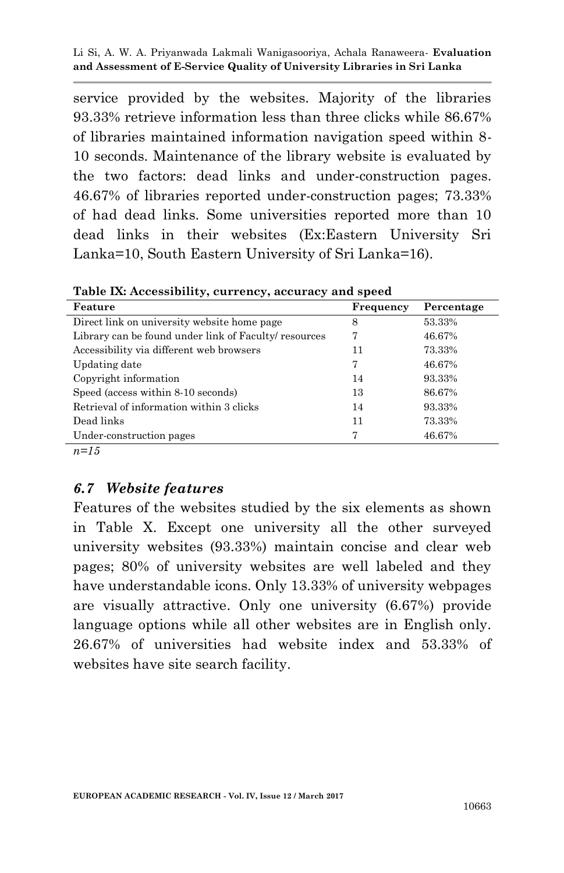service provided by the websites. Majority of the libraries 93.33% retrieve information less than three clicks while 86.67% of libraries maintained information navigation speed within 8- 10 seconds. Maintenance of the library website is evaluated by the two factors: dead links and under-construction pages. 46.67% of libraries reported under-construction pages; 73.33% of had dead links. Some universities reported more than 10 dead links in their websites (Ex:Eastern University Sri Lanka=10, South Eastern University of Sri Lanka=16).

| Feature                                               | Frequency | Percentage |
|-------------------------------------------------------|-----------|------------|
| Direct link on university website home page           | 8         | 53.33%     |
| Library can be found under link of Faculty/ resources |           | 46.67%     |
| Accessibility via different web browsers              | 11        | 73.33%     |
| Updating date                                         | 7         | 46.67%     |
| Copyright information                                 | 14        | 93.33%     |
| Speed (access within 8-10 seconds)                    | 13        | 86.67%     |
| Retrieval of information within 3 clicks              | 14        | 93.33%     |
| Dead links                                            | 11        | 73.33%     |
| Under-construction pages                              | 7         | 46.67%     |

**Table IX: Accessibility, currency, accuracy and speed**

 $n=15$ 

### *6.7 Website features*

Features of the websites studied by the six elements as shown in Table X. Except one university all the other surveyed university websites (93.33%) maintain concise and clear web pages; 80% of university websites are well labeled and they have understandable icons. Only 13.33% of university webpages are visually attractive. Only one university (6.67%) provide language options while all other websites are in English only. 26.67% of universities had website index and 53.33% of websites have site search facility.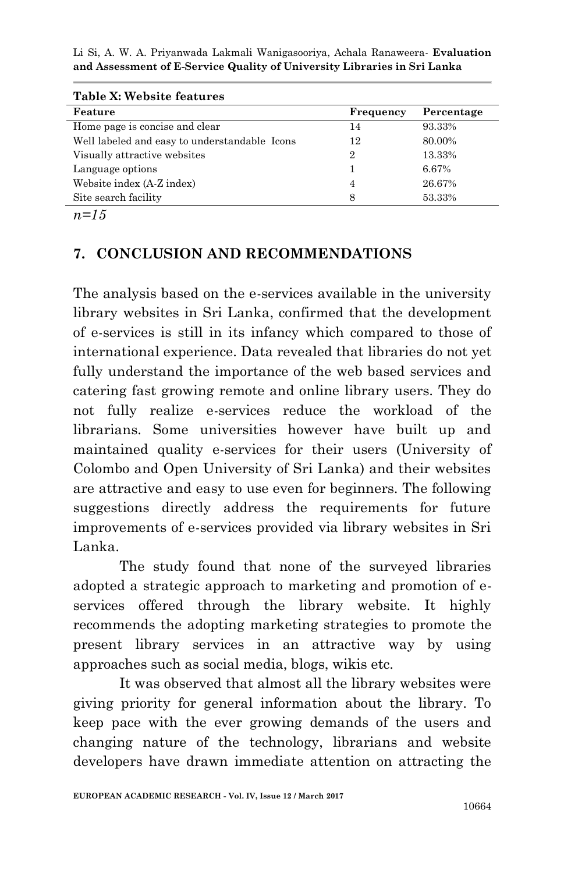| Table X: Website features                     |           |            |
|-----------------------------------------------|-----------|------------|
| Feature                                       | Frequency | Percentage |
| Home page is concise and clear                | 14        | 93.33%     |
| Well labeled and easy to understandable Icons | 12        | 80.00%     |
| Visually attractive websites                  | 2         | 13.33%     |
| Language options                              |           | 6.67%      |
| Website index (A-Z index)                     | 4         | 26.67%     |
| Site search facility                          | 8         | 53.33%     |

*n=15* 

## **7. CONCLUSION AND RECOMMENDATIONS**

The analysis based on the e-services available in the university library websites in Sri Lanka, confirmed that the development of e-services is still in its infancy which compared to those of international experience. Data revealed that libraries do not yet fully understand the importance of the web based services and catering fast growing remote and online library users. They do not fully realize e-services reduce the workload of the librarians. Some universities however have built up and maintained quality e-services for their users (University of Colombo and Open University of Sri Lanka) and their websites are attractive and easy to use even for beginners. The following suggestions directly address the requirements for future improvements of e-services provided via library websites in Sri Lanka.

The study found that none of the surveyed libraries adopted a strategic approach to marketing and promotion of eservices offered through the library website. It highly recommends the adopting marketing strategies to promote the present library services in an attractive way by using approaches such as social media, blogs, wikis etc.

It was observed that almost all the library websites were giving priority for general information about the library. To keep pace with the ever growing demands of the users and changing nature of the technology, librarians and website developers have drawn immediate attention on attracting the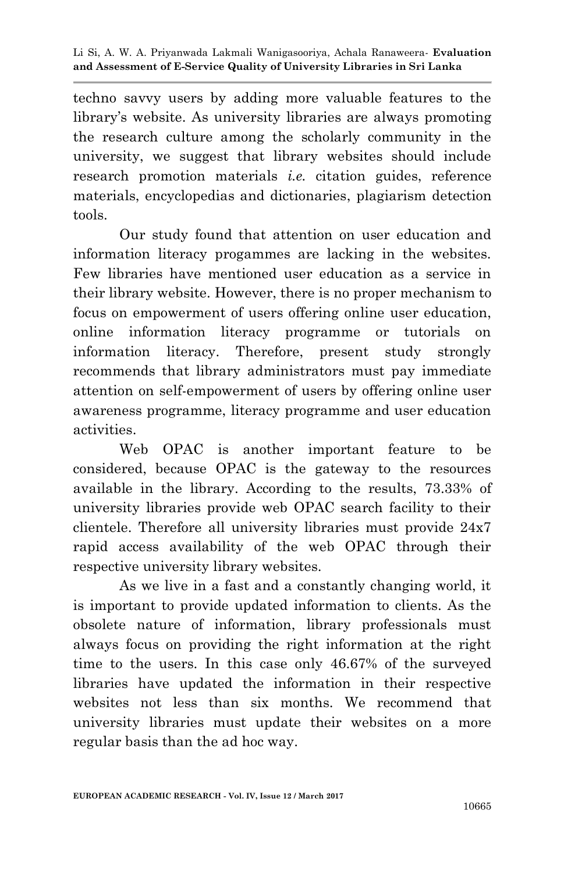techno savvy users by adding more valuable features to the library's website. As university libraries are always promoting the research culture among the scholarly community in the university, we suggest that library websites should include research promotion materials *i.e.* citation guides, reference materials, encyclopedias and dictionaries, plagiarism detection tools.

Our study found that attention on user education and information literacy progammes are lacking in the websites. Few libraries have mentioned user education as a service in their library website. However, there is no proper mechanism to focus on empowerment of users offering online user education, online information literacy programme or tutorials on information literacy. Therefore, present study strongly recommends that library administrators must pay immediate attention on self-empowerment of users by offering online user awareness programme, literacy programme and user education activities.

Web OPAC is another important feature to be considered, because OPAC is the gateway to the resources available in the library. According to the results, 73.33% of university libraries provide web OPAC search facility to their clientele. Therefore all university libraries must provide 24x7 rapid access availability of the web OPAC through their respective university library websites.

As we live in a fast and a constantly changing world, it is important to provide updated information to clients. As the obsolete nature of information, library professionals must always focus on providing the right information at the right time to the users. In this case only 46.67% of the surveyed libraries have updated the information in their respective websites not less than six months. We recommend that university libraries must update their websites on a more regular basis than the ad hoc way.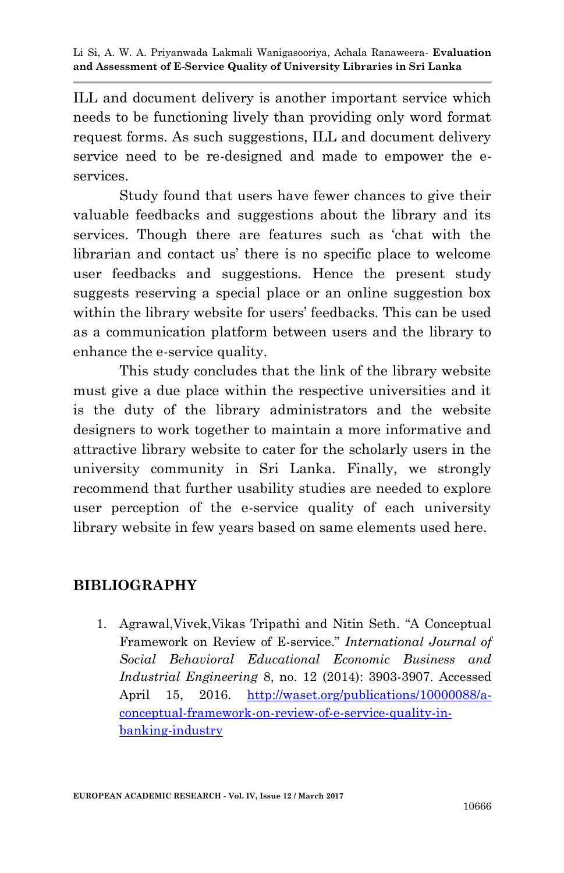ILL and document delivery is another important service which needs to be functioning lively than providing only word format request forms. As such suggestions, ILL and document delivery service need to be re-designed and made to empower the eservices.

Study found that users have fewer chances to give their valuable feedbacks and suggestions about the library and its services. Though there are features such as "chat with the librarian and contact us' there is no specific place to welcome user feedbacks and suggestions. Hence the present study suggests reserving a special place or an online suggestion box within the library website for users' feedbacks. This can be used as a communication platform between users and the library to enhance the e-service quality.

This study concludes that the link of the library website must give a due place within the respective universities and it is the duty of the library administrators and the website designers to work together to maintain a more informative and attractive library website to cater for the scholarly users in the university community in Sri Lanka. Finally, we strongly recommend that further usability studies are needed to explore user perception of the e-service quality of each university library website in few years based on same elements used here.

### **BIBLIOGRAPHY**

1. Agrawal,Vivek,Vikas Tripathi and Nitin Seth. "A Conceptual Framework on Review of E-service." *International Journal of Social Behavioral Educational Economic Business and Industrial Engineering* 8, no. 12 (2014): 3903-3907. Accessed April 15, 2016. [http://waset.org/publications/10000088/a](http://waset.org/publications/10000088/a-conceptual-framework-on-review-of-e-service-quality-in-banking-industry)[conceptual-framework-on-review-of-e-service-quality-in](http://waset.org/publications/10000088/a-conceptual-framework-on-review-of-e-service-quality-in-banking-industry)[banking-industry](http://waset.org/publications/10000088/a-conceptual-framework-on-review-of-e-service-quality-in-banking-industry)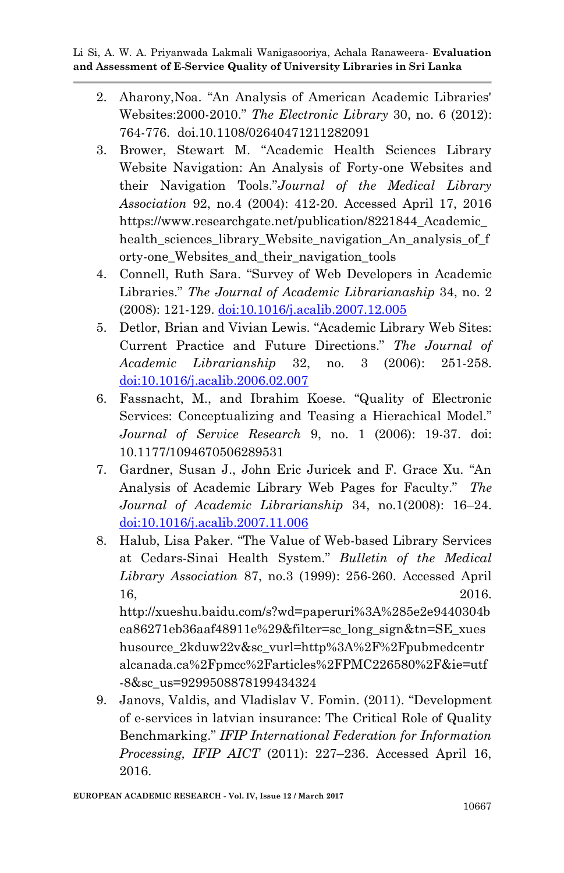- 2. Aharony,Noa. "An Analysis of American Academic Libraries' Websites:2000-2010." *The Electronic Library* 30, no. 6 (2012): 764-776. doi.10.1108/02640471211282091
- 3. Brower, Stewart M. "Academic Health Sciences Library Website Navigation: An Analysis of Forty-one Websites and their Navigation Tools."*Journal of the Medical Library Association* 92, no.4 (2004): 412-20. Accessed April 17, 2016 https://www.researchgate.net/publication/8221844 Academic health\_sciences\_library\_Website\_navigation\_An\_analysis\_of\_f orty-one\_Websites\_and\_their\_navigation\_tools
- 4. Connell, Ruth Sara. "Survey of Web Developers in Academic Libraries." *The Journal of Academic Librarianaship* 34, no. 2 (2008): 121-129. [doi:10.1016/j.acalib.2007.12.005](http://dx.doi.org/10.1016/j.acalib.2007.12.005)
- 5. Detlor, Brian and Vivian Lewis. "Academic Library Web Sites: Current Practice and Future Directions." *The Journal of Academic Librarianship* 32, no. 3 (2006): 251-258. [doi:10.1016/j.acalib.2006.02.007](http://dx.doi.org/10.1016/j.acalib.2006.02.007)
- 6. Fassnacht, M., and Ibrahim Koese. "Quality of Electronic Services: Conceptualizing and Teasing a Hierachical Model." *Journal of Service Research* 9, no. 1 (2006): 19-37. doi: 10.1177/1094670506289531
- 7. Gardner, Susan J., John Eric Juricek and F. Grace Xu. "An Analysis of Academic Library Web Pages for Faculty." *The Journal of Academic Librarianship* 34, no.1(2008): 16–24. [doi:10.1016/j.acalib.2007.11.006](http://dx.doi.org/10.1016/j.acalib.2007.11.006)
- 8. Halub, Lisa Paker. "The Value of Web-based Library Services at Cedars-Sinai Health System." *Bulletin of the Medical Library Association* 87, no.3 (1999): 256-260. Accessed April 16, 2016.

http://xueshu.baidu.com/s?wd=paperuri%3A%285e2e9440304b ea86271eb36aaf48911e%29&filter=sc\_long\_sign&tn=SE\_xues husource\_2kduw22v&sc\_vurl=http%3A%2F%2Fpubmedcentr alcanada.ca%2Fpmcc%2Farticles%2FPMC226580%2F&ie=utf -8&sc\_us=9299508878199434324

9. Janovs, Valdis, and Vladislav V. Fomin. (2011). "Development of e-services in latvian insurance: The Critical Role of Quality Benchmarking." *IFIP International Federation for Information Processing, IFIP AICT* (2011): 227–236. Accessed April 16, 2016.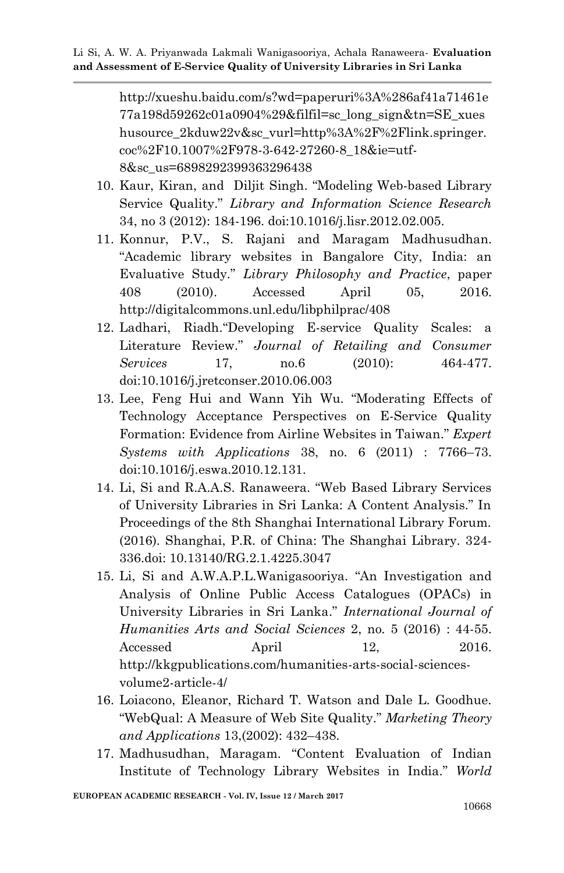http://xueshu.baidu.com/s?wd=paperuri%3A%286af41a71461e 77a198d59262c01a0904%29&filfil=sc\_long\_sign&tn=SE\_xues husource\_2kduw22v&sc\_vurl=http%3A%2F%2Flink.springer. coc%2F10.1007%2F978-3-642-27260-8\_18&ie=utf-8&sc\_us=6898292399363296438

- 10. Kaur, Kiran, and Diljit Singh. "Modeling Web-based Library Service Quality." *Library and Information Science Research* 34, no 3 (2012): 184-196. doi:10.1016/j.lisr.2012.02.005.
- 11. Konnur, P.V., S. Rajani and Maragam Madhusudhan. "Academic library websites in Bangalore City, India: an Evaluative Study." *Library Philosophy and Practice*, paper 408 (2010). Accessed April 05, 2016. http://digitalcommons.unl.edu/libphilprac/408
- 12. Ladhari, Riadh."Developing E-service Quality Scales: a Literature Review." *Journal of Retailing and Consumer Services* 17, no.6 (2010): 464-477. doi:10.1016/j.jretconser.2010.06.003
- 13. Lee, Feng Hui and Wann Yih Wu. "Moderating Effects of Technology Acceptance Perspectives on E-Service Quality Formation: Evidence from Airline Websites in Taiwan." *Expert Systems with Applications* 38, no. 6 (2011) : 7766–73. doi:10.1016/j.eswa.2010.12.131.
- 14. Li, Si and R.A.A.S. Ranaweera. "Web Based Library Services of University Libraries in Sri Lanka: A Content Analysis." In Proceedings of the 8th Shanghai International Library Forum. (2016). Shanghai, P.R. of China: The Shanghai Library. 324- 336.doi: 10.13140/RG.2.1.4225.3047
- 15. Li, Si and A.W.A.P.L.Wanigasooriya. "An Investigation and Analysis of Online Public Access Catalogues (OPACs) in University Libraries in Sri Lanka." *International Journal of Humanities Arts and Social Sciences* 2, no. 5 (2016) : 44-55. Accessed April 12, 2016. http://kkgpublications.com/humanities-arts-social-sciencesvolume2-article-4/
- 16. Loiacono, Eleanor, Richard T. Watson and Dale L. Goodhue. "WebQual: A Measure of Web Site Quality." *Marketing Theory and Applications* 13,(2002): 432–438.
- 17. Madhusudhan, Maragam. "Content Evaluation of Indian Institute of Technology Library Websites in India." *World*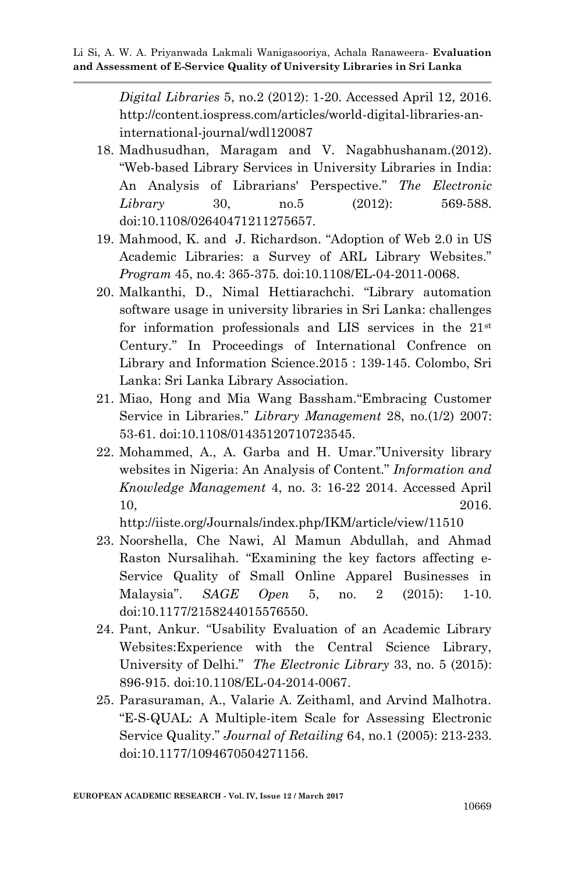*Digital Libraries* 5, no.2 (2012): 1-20. Accessed April 12, 2016. http://content.iospress.com/articles/world-digital-libraries-aninternational-journal/wdl120087

- 18. Madhusudhan, Maragam and V. Nagabhushanam.(2012). "Web-based Library Services in University Libraries in India: An Analysis of Librarians' Perspective." *The Electronic Library* 30, no.5 (2012): 569-588. doi:10.1108/02640471211275657.
- 19. Mahmood, K. and J. Richardson. "Adoption of Web 2.0 in US Academic Libraries: a Survey of ARL Library Websites." *Program* 45, no.4: 365-375. doi:10.1108/EL-04-2011-0068.
- 20. Malkanthi, D., Nimal Hettiarachchi. "Library automation software usage in university libraries in Sri Lanka: challenges for information professionals and LIS services in the 21st Century." In Proceedings of International Confrence on Library and Information Science.2015 : 139-145. Colombo, Sri Lanka: Sri Lanka Library Association.
- 21. Miao, Hong and Mia Wang Bassham."Embracing Customer Service in Libraries." *Library Management* 28, no.(1/2) 2007: 53-61. doi:10.1108/01435120710723545.
- 22. Mohammed, A., A. Garba and H. Umar."University library websites in Nigeria: An Analysis of Content." *Information and Knowledge Management* 4, no. 3: 16-22 2014. Accessed April 10, 2016.

http://iiste.org/Journals/index.php/IKM/article/view/11510

- 23. Noorshella, Che Nawi, Al Mamun Abdullah, and Ahmad Raston Nursalihah. "Examining the key factors affecting e-Service Quality of Small Online Apparel Businesses in Malaysia". *SAGE Open* 5, no. 2 (2015): 1-10. doi:10.1177/2158244015576550.
- 24. Pant, Ankur. "Usability Evaluation of an Academic Library Websites:Experience with the Central Science Library, University of Delhi." *The Electronic Library* 33, no. 5 (2015): 896-915. doi:10.1108/EL-04-2014-0067.
- 25. Parasuraman, A., Valarie A. Zeithaml, and Arvind Malhotra. "E-S-QUAL: A Multiple-item Scale for Assessing Electronic Service Quality." *Journal of Retailing* 64, no.1 (2005): 213-233. doi:10.1177/1094670504271156.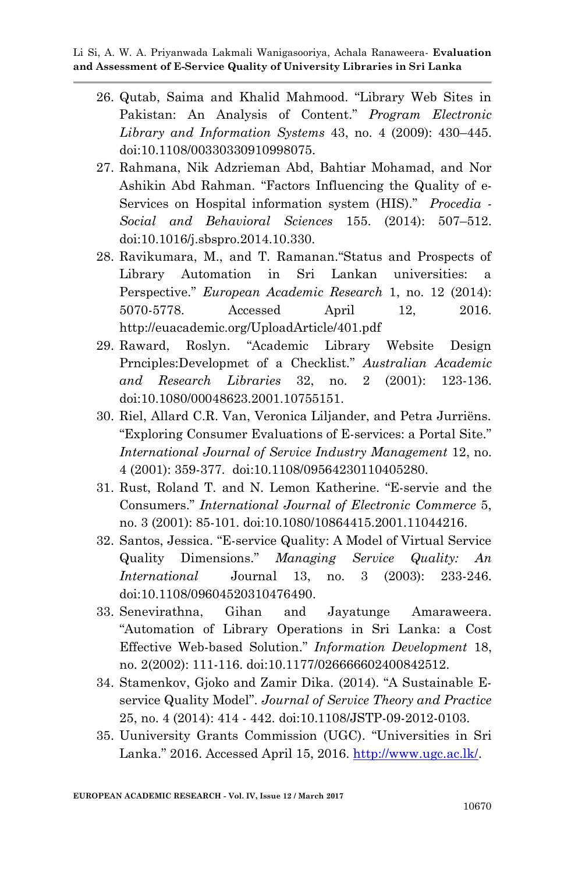- 26. Qutab, Saima and Khalid Mahmood. "Library Web Sites in Pakistan: An Analysis of Content." *Program Electronic Library and Information Systems* 43, no. 4 (2009): 430–445. doi:10.1108/00330330910998075.
- 27. Rahmana, Nik Adzrieman Abd, Bahtiar Mohamad, and Nor Ashikin Abd Rahman. "Factors Influencing the Quality of e-Services on Hospital information system (HIS)." *Procedia - Social and Behavioral Sciences* 155. (2014): 507–512. doi:10.1016/j.sbspro.2014.10.330.
- 28. Ravikumara, M., and T. Ramanan."Status and Prospects of Library Automation in Sri Lankan universities: a Perspective." *European Academic Research* 1, no. 12 (2014): 5070-5778. Accessed April 12, 2016. http://euacademic.org/UploadArticle/401.pdf
- 29. Raward, Roslyn. "Academic Library Website Design Prnciples:Developmet of a Checklist." *Australian Academic and Research Libraries* 32, no. 2 (2001): 123-136. doi:10.1080/00048623.2001.10755151.
- 30. Riel, Allard C.R. Van, Veronica Liljander, and Petra Jurriëns. "Exploring Consumer Evaluations of E-services: a Portal Site." *International Journal of Service Industry Management* 12, no. 4 (2001): 359-377. doi:10.1108/09564230110405280.
- 31. Rust, Roland T. and N. Lemon Katherine. "E-servie and the Consumers." *International Journal of Electronic Commerce* 5, no. 3 (2001): 85-101. doi:10.1080/10864415.2001.11044216.
- 32. Santos, Jessica. "E-service Quality: A Model of Virtual Service Quality Dimensions." *Managing Service Quality: An International* Journal 13, no. 3 (2003): 233-246. doi:10.1108/09604520310476490.
- 33. Senevirathna, Gihan and Jayatunge Amaraweera. "Automation of Library Operations in Sri Lanka: a Cost Effective Web-based Solution." *Information Development* 18, no. 2(2002): 111-116. doi:10.1177/026666602400842512.
- 34. Stamenkov, Gjoko and Zamir Dika. (2014). "A Sustainable Eservice Quality Model". *Journal of Service Theory and Practice* 25, no. 4 (2014): 414 - 442. doi:10.1108/JSTP-09-2012-0103.
- 35. Uuniversity Grants Commission (UGC). "Universities in Sri Lanka." 2016. Accessed April 15, 2016. [http://www.ugc.ac.lk/.](http://www.ugc.ac.lk/)